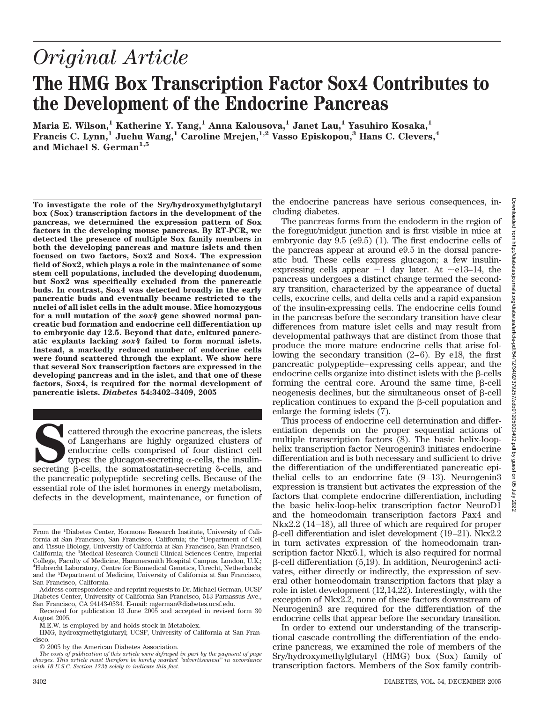# *Original Article*

# **The HMG Box Transcription Factor Sox4 Contributes to the Development of the Endocrine Pancreas**

**Maria E. Wilson,1 Katherine Y. Yang,1 Anna Kalousova,1 Janet Lau,1 Yasuhiro Kosaka,1 Francis C. Lynn,1 Juehu Wang,1 Caroline Mrejen,1,2 Vasso Episkopou,3 Hans C. Clevers,4** and Michael S. German<sup>1,5</sup>

**To investigate the role of the Sry/hydroxymethylglutaryl box (Sox) transcription factors in the development of the pancreas, we determined the expression pattern of Sox factors in the developing mouse pancreas. By RT-PCR, we detected the presence of multiple Sox family members in both the developing pancreas and mature islets and then focused on two factors, Sox2 and Sox4. The expression field of Sox2, which plays a role in the maintenance of some stem cell populations, included the developing duodenum, but Sox2 was specifically excluded from the pancreatic buds. In contrast, Sox4 was detected broadly in the early pancreatic buds and eventually became restricted to the nuclei of all islet cells in the adult mouse. Mice homozygous for a null mutation of the** *sox4* **gene showed normal pancreatic bud formation and endocrine cell differentiation up to embryonic day 12.5. Beyond that date, cultured pancreatic explants lacking** *sox4* **failed to form normal islets. Instead, a markedly reduced number of endocrine cells were found scattered through the explant. We show here that several Sox transcription factors are expressed in the developing pancreas and in the islet, and that one of these factors, Sox4, is required for the normal development of pancreatic islets.** *Diabetes* **54:3402–3409, 2005**

cattered through the exocrine pancreas, the islets of Langerhans are highly organized clusters of endocrine cells comprised of four distinct cell types: the glucagon-secreting  $\alpha$ -cells, the insulinsecreting  $\beta$ -cells, the somatostatin-secreting  $\delta$ -cells, and the pancreatic polypeptide–secreting cells. Because of the essential role of the islet hormones in energy metabolism, defects in the development, maintenance, or function of the endocrine pancreas have serious consequences, including diabetes.

The pancreas forms from the endoderm in the region of the foregut/midgut junction and is first visible in mice at embryonic day 9.5 (e9.5) (1). The first endocrine cells of the pancreas appear at around e9.5 in the dorsal pancreatic bud. These cells express glucagon; a few insulinexpressing cells appear  $\sim$ 1 day later. At  $\sim$ e13–14, the pancreas undergoes a distinct change termed the secondary transition, characterized by the appearance of ductal cells, exocrine cells, and delta cells and a rapid expansion of the insulin-expressing cells. The endocrine cells found in the pancreas before the secondary transition have clear differences from mature islet cells and may result from developmental pathways that are distinct from those that produce the more mature endocrine cells that arise following the secondary transition (2–6). By e18, the first pancreatic polypeptide–expressing cells appear, and the endocrine cells organize into distinct islets with the  $\beta$ -cells forming the central core. Around the same time,  $\beta$ -cell neogenesis declines, but the simultaneous onset of  $\beta$ -cell replication continues to expand the  $\beta$ -cell population and enlarge the forming islets (7).

This process of endocrine cell determination and differentiation depends on the proper sequential actions of multiple transcription factors (8). The basic helix-loophelix transcription factor Neurogenin3 initiates endocrine differentiation and is both necessary and sufficient to drive the differentiation of the undifferentiated pancreatic epithelial cells to an endocrine fate  $(9-13)$ . Neurogenin3 expression is transient but activates the expression of the factors that complete endocrine differentiation, including the basic helix-loop-helix transcription factor NeuroD1 and the homeodomain transcription factors Pax4 and Nkx2.2 (14–18), all three of which are required for proper  $\beta$ -cell differentiation and islet development (19–21). Nkx2.2 in turn activates expression of the homeodomain transcription factor Nkx6.1, which is also required for normal  $\beta$ -cell differentiation (5,19). In addition, Neurogenin3 activates, either directly or indirectly, the expression of several other homeodomain transcription factors that play a role in islet development (12,14,22). Interestingly, with the exception of Nkx2.2, none of these factors downstream of Neurogenin3 are required for the differentiation of the endocrine cells that appear before the secondary transition.

In order to extend our understanding of the transcriptional cascade controlling the differentiation of the endocrine pancreas, we examined the role of members of the Sry/hydroxymethylglutaryl (HMG) box (Sox) family of transcription factors. Members of the Sox family contrib-

From the <sup>1</sup> Diabetes Center, Hormone Research Institute, University of California at San Francisco, San Francisco, California; the <sup>2</sup>Department of Cell and Tissue Biology, University of California at San Francisco, San Francisco, California; the <sup>3</sup> Medical Research Council Clinical Sciences Centre, Imperial College, Faculty of Medicine, Hammersmith Hospital Campus, London, U.K.; 4 Hubrecht Laboratory, Centre for Biomedical Genetics, Utrecht, Netherlands; and the <sup>5</sup> Department of Medicine, University of California at San Francisco, San Francisco, California.

Address correspondence and reprint requests to Dr. Michael German, UCSF Diabetes Center, University of California San Francisco, 513 Parnassus Ave., San Francisco, CA 94143-0534. E-mail: mgerman@diabetes.ucsf.edu.

Received for publication 13 June 2005 and accepted in revised form 30 August 2005.

M.E.W. is employed by and holds stock in Metabolex.

HMG, hydroxymethylglutaryl; UCSF, University of California at San Francisco.

<sup>© 2005</sup> by the American Diabetes Association.

*The costs of publication of this article were defrayed in part by the payment of page charges. This article must therefore be hereby marked "advertisement" in accordance with 18 U.S.C. Section 1734 solely to indicate this fact.*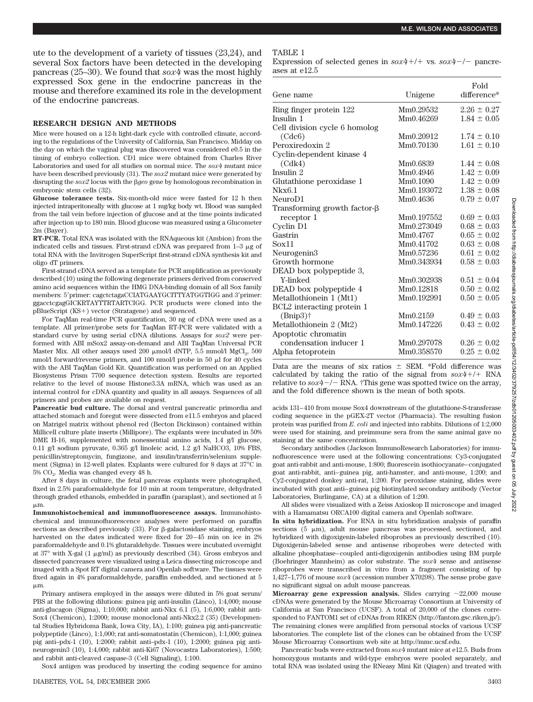ute to the development of a variety of tissues (23,24), and several Sox factors have been detected in the developing pancreas (25–30). We found that *sox4* was the most highly expressed Sox gene in the endocrine pancreas in the mouse and therefore examined its role in the development of the endocrine pancreas.

# **RESEARCH DESIGN AND METHODS**

Mice were housed on a 12-h light-dark cycle with controlled climate, according to the regulations of the University of California, San Francisco. Midday on the day on which the vaginal plug was discovered was considered e0.5 in the timing of embryo collection. CD1 mice were obtained from Charles River Laboratories and used for all studies on normal mice. The *sox4* mutant mice have been described previously (31). The *sox2* mutant mice were generated by disrupting the *sox2* locus with the  $\beta$ geo gene by homologous recombination in embryonic stem cells (32).

**Glucose tolerance tests.** Six-month-old mice were fasted for 12 h then injected intraperitoneally with glucose at 1 mg/kg body wt. Blood was sampled from the tail vein before injection of glucose and at the time points indicated after injection up to 180 min. Blood glucose was measured using a Glucometer 2m (Bayer).

**RT-PCR.** Total RNA was isolated with the RNAqueous kit (Ambion) from the indicated cells and tissues. First-strand cDNA was prepared from  $1-3 \mu$ g of total RNA with the Invitrogen SuperScript first-strand cDNA synthesis kit and oligo dT primers.

First-strand cDNA served as a template for PCR amplification as previously described (10) using the following degenerate primers derived from conserved amino acid sequences within the HMG DNA-binding domain of all Sox family members: 5'primer: cagctctagaCCIATGAAYGCITTYATGGTIGG and 3'primer: ggacctcgagGICKRTAYTTRTARTCIGG. PCR products were cloned into the pBlueScript (KS+) vector (Stratagene) and sequenced.

For TaqMan real-time PCR quantification, 30 ng of cDNA were used as a template. All primer/probe sets for TaqMan RT-PCR were validated with a standard curve by using serial cDNA dilutions. Assays for *sox2* were performed with ABI mSox2 assay-on-demand and ABI TaqMan Universal PCR Master Mix. All other assays used 200  $\mu$ mol/l dNTP, 5.5 mmol/l MgCl<sub>2</sub>, 500 nmol/l forward/reverse primers, and 100 nmol/l probe in 50  $\mu$ l for 40 cycles with the ABI TaqMan Gold Kit. Quantification was performed on an Applied Biosystems Prism 7700 sequence detection system. Results are reported relative to the level of mouse Histone3.3A mRNA, which was used as an internal control for cDNA quantity and quality in all assays. Sequences of all primers and probes are available on request.

**Pancreatic bud culture.** The dorsal and ventral pancreatic primordia and attached stomach and foregut were dissected from e11.5 embryos and placed on Matrigel matrix without phenol red (Becton Dickinson) contained within Millicell culture plate inserts (Millipore). The explants were incubated in 50% DME H-16, supplemented with nonessential amino acids, 1.4 g/l glucose, 0.11 g/l sodium pyruvate, 0.365 g/l linoleic acid, 1.2 g/l NaHCO3, 10% FBS, penicillin/streptomycin, fungizone, and insulin/transferrin/selenium supplement (Sigma) in 12-well plates. Explants were cultured for 8 days at 37°C in 5% CO2. Media was changed every 48 h.

After 8 days in culture, the fetal pancreas explants were photographed, fixed in 2.5% paraformaldehyde for 10 min at room temperature, dehydrated through graded ethanols, embedded in paraffin (paraplast), and sectioned at 5  $\mu$ m.

**Immunohistochemical and immunofluorescence assays.** Immunohistochemical and immunofluorescence analyses were performed on paraffin sections as described previously  $(33)$ . For  $\beta$ -galactosidase staining, embryos harvested on the dates indicated were fixed for 20–45 min on ice in 2% paraformaldehyde and 0.1% glutaraldehyde. Tissues were incubated overnight at  $37^{\circ}$  with X-gal (1  $\mu$ g/ml) as previously described (34). Gross embryos and dissected pancreases were visualized using a Leica dissecting microscope and imaged with a Spot RT digital camera and Openlab software. The tissues were fixed again in 4% paraformaldehyde, paraffin embedded, and sectioned at 5  $\mu$ m.

Primary antisera employed in the assays were diluted in 5% goat serum/ PBS at the following dilutions: guinea pig anti-insulin (Linco), 1:4,000; mouse anti-glucagon (Sigma), 1:10,000; rabbit anti-Nkx 6.1 (5), 1:6,000; rabbit anti-Sox4 (Chemicon), 1:2000; mouse monoclonal anti-Nkx2.2 (35) (Developmental Studies Hybridoma Bank, Iowa City, IA), 1:100; guinea pig anti-pancreatic polypeptide (Linco), 1:1,000; rat anti-somatostatin (Chemicon), 1:1,000; guinea pig anti–pdx-1 (10), 1:2000; rabbit anti–pdx-1 (10), 1:2000; guinea pig antineurogenin3 (10), 1:4,000; rabbit anti-Ki67 (Novocastra Laboratories), 1:500; and rabbit anti-cleaved caspase-3 (Cell Signaling), 1:100.

Sox4 antigen was produced by inserting the coding sequence for amino

# TABLE 1

Expression of selected genes in  $s\alpha x^4$ +/+ vs.  $s\alpha x^4$ -/- pancreases at e12.5

|                                     |            | Fold            |
|-------------------------------------|------------|-----------------|
| Gene name                           | Unigene    | difference*     |
| Ring finger protein 122             | Mm0.29532  | $2.26 \pm 0.27$ |
| Insulin 1                           | Mm0.46269  | $1.84 \pm 0.05$ |
| Cell division cycle 6 homolog       |            |                 |
| (Cdc6)                              | Mm0.20912  | $1.74 \pm 0.10$ |
| Peroxiredoxin 2                     | Mm0.70130  | $1.61 \pm 0.10$ |
| Cyclin-dependent kinase 4           |            |                 |
| (Cdk4)                              | Mm0.6839   | $1.44 \pm 0.08$ |
| Insulin 2                           | Mm0.4946   | $1.42 \pm 0.09$ |
| Glutathione peroxidase 1            | Mm0.1090   | $1.42 \pm 0.09$ |
| Nkx6.1                              | Mm0.193072 | $1.38 \pm 0.08$ |
| NeuroD1                             | Mm0.4636   | $0.79 \pm 0.07$ |
| Transforming growth factor- $\beta$ |            |                 |
| receptor 1                          | Mm0.197552 | $0.69 \pm 0.03$ |
| Cyclin D1                           | Mm0.273049 | $0.68 \pm 0.03$ |
| Gastrin                             | Mm0.4767   | $0.65 \pm 0.02$ |
| Sox11                               | Mm0.41702  | $0.63 \pm 0.08$ |
| Neurogenin3                         | Mm0.57236  | $0.61 \pm 0.02$ |
| Growth hormone                      | Mm0.343934 | $0.58 \pm 0.03$ |
| DEAD box polypeptide 3,             |            |                 |
| Y-linked                            | Mm0.302938 | $0.51 \pm 0.04$ |
| DEAD box polypeptide 4              | Mm0.12818  | $0.50 \pm 0.02$ |
| Metallothionein 1 (Mt1)             | Mm0.192991 | $0.50 \pm 0.05$ |
| BCL2 interacting protein 1          |            |                 |
| $(Bnip3)$ †                         | Mm0.2159   | $0.49 \pm 0.03$ |
| Metallothionein 2 (Mt2)             | Mm0.147226 | $0.43 \pm 0.02$ |
| Apoptotic chromatin                 |            |                 |
| condensation inducer 1              | Mm0.297078 | $0.26 \pm 0.02$ |
| Alpha fetoprotein                   | Mm0.358570 | $0.25 \pm 0.02$ |

Data are the means of six ratios  $\pm$  SEM. \*Fold difference was calculated by taking the ratio of the signal from  $s\alpha x/2$ +/+ RNA relative to  $s\alpha x^4$  –/– RNA. †This gene was spotted twice on the array, and the fold difference shown is the mean of both spots.

acids 131–410 from mouse Sox4 downstream of the glutathione-S-transferase coding sequence in the pGEX-2T vector (Pharmacia). The resulting fusion protein was purified from *E. coli* and injected into rabbits. Dilutions of 1:2,000 were used for staining, and preimmune sera from the same animal gave no staining at the same concentration.

Secondary antibodies (Jackson ImmunoResearch Laboratories) for immunofluorescence were used at the following concentrations: Cy3-conjugated goat anti-rabbit and anti-mouse, 1:800; fluorescein isothiocyanate–conjugated goat anti-rabbit, anti–guinea pig, anti-hamster, and anti-mouse, 1:200; and Cy2-conjugated donkey anti-rat, 1:200. For peroxidase staining, slides were incubated with goat anti–guinea pig biotinylated secondary antibody (Vector Laboratories, Burlingame, CA) at a dilution of 1:200.

All slides were visualized with a Zeiss Axioskop II microscope and imaged with a Hamamatsu ORCA100 digital camera and Openlab software.

**In situ hybridization.** For RNA in situ hybridization analysis of paraffin sections  $(5 \mu m)$ , adult mouse pancreas was processed, sectioned, and hybridized with digoxigenin-labeled riboprobes as previously described (10). Digoxigenin-labeled sense and antisense riboprobes were detected with alkaline phosphatase–coupled anti-digoxigenin antibodies using BM purple (Boehringer Mannheim) as color substrate. The *sox4* sense and antisense riboprobes were transcribed in vitro from a fragment consisting of bp 1,427–1,776 of mouse *sox4* (accession number X70298). The sense probe gave no significant signal on adult mouse pancreas.

**Microarray gene expression analysis.** Slides carrying  $\sim$ 22,000 mouse cDNAs were generated by the Mouse Microarray Consortium at University of California at San Francisco (UCSF). A total of 20,000 of the clones corresponded to FANTOM1 set of cDNAs from RIKEN (http://fantom.gsc.riken.jp/). The remaining clones were amplified from personal stocks of various UCSF laboratories. The complete list of the clones can be obtained from the UCSF Mouse Microarray Consortium web site at http://mmc.ucsf.edu.

Pancreatic buds were extracted from *sox4* mutant mice at e12.5. Buds from homozygous mutants and wild-type embryos were pooled separately, and total RNA was isolated using the RNeasy Mini Kit (Qiagen) and treated with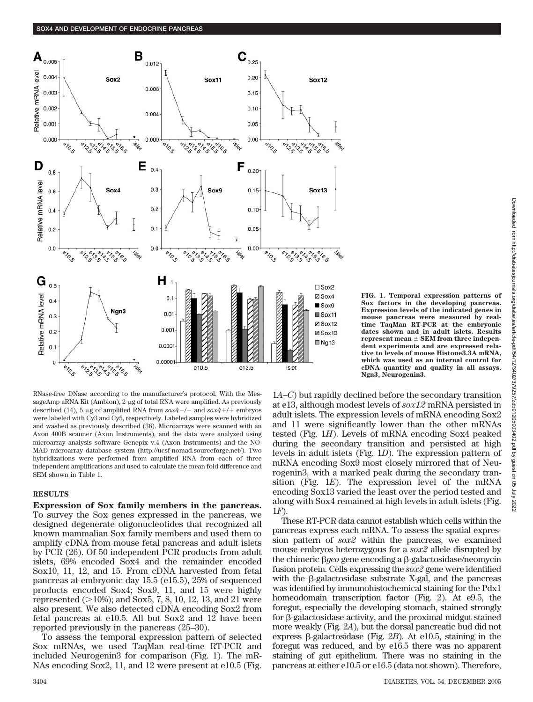

RNase-free DNase according to the manufacturer's protocol. With the MessageAmp aRNA Kit (Ambion),  $2 \mu$ g of total RNA were amplified. As previously described (14), 5  $\mu$ g of amplified RNA from  $s\alpha x^4$  -/- and  $s\alpha x^4$  +/+ embryos were labeled with Cy3 and Cy5, respectively. Labeled samples were hybridized and washed as previously described (36). Microarrays were scanned with an Axon 400B scanner (Axon Instruments), and the data were analyzed using microarray analysis software Genepix v.4 (Axon Instruments) and the NO-MAD microarray database system (http://ucsf-nomad.sourceforge.net/). Two hybridizations were performed from amplified RNA from each of three independent amplifications and used to calculate the mean fold difference and SEM shown in Table 1.

# **RESULTS**

**Expression of Sox family members in the pancreas.** To survey the Sox genes expressed in the pancreas, we designed degenerate oligonucleotides that recognized all known mammalian Sox family members and used them to amplify cDNA from mouse fetal pancreas and adult islets by PCR (26). Of 50 independent PCR products from adult islets, 69% encoded Sox4 and the remainder encoded Sox10, 11, 12, and 15. From cDNA harvested from fetal pancreas at embryonic day 15.5 (e15.5), 25% of sequenced products encoded Sox4; Sox9, 11, and 15 were highly represented ( 10%); and Sox5, 7, 8, 10, 12, 13, and 21 were also present. We also detected cDNA encoding Sox2 from fetal pancreas at e10.5. All but Sox2 and 12 have been reported previously in the pancreas (25–30).

To assess the temporal expression pattern of selected Sox mRNAs, we used TaqMan real-time RT-PCR and included Neurogenin3 for comparison (Fig. 1). The mR-NAs encoding Sox2, 11, and 12 were present at e10.5 (Fig.

**FIG. 1. Temporal expression patterns of Sox factors in the developing pancreas. Expression levels of the indicated genes in mouse pancreas were measured by realtime TaqMan RT-PCR at the embryonic dates shown and in adult islets. Results represent mean SEM from three independent experiments and are expressed relative to levels of mouse Histone3.3A mRNA, which was used as an internal control for cDNA quantity and quality in all assays. Ngn3, Neurogenin3.**

1*A*–*C*) but rapidly declined before the secondary transition at e13, although modest levels of *sox12* mRNA persisted in adult islets. The expression levels of mRNA encoding Sox2 and 11 were significantly lower than the other mRNAs tested (Fig. 1*H*). Levels of mRNA encoding Sox4 peaked during the secondary transition and persisted at high levels in adult islets (Fig. 1*D*). The expression pattern of mRNA encoding Sox9 most closely mirrored that of Neurogenin3, with a marked peak during the secondary transition (Fig. 1*E*). The expression level of the mRNA encoding Sox13 varied the least over the period tested and along with Sox4 remained at high levels in adult islets (Fig. 1*F*).

These RT-PCR data cannot establish which cells within the pancreas express each mRNA. To assess the spatial expression pattern of *sox2* within the pancreas, we examined mouse embryos heterozygous for a *sox2* allele disrupted by the chimeric βgeo gene encoding a β-galactosidase/neomycin fusion protein. Cells expressing the *sox2* gene were identified with the  $\beta$ -galactosidase substrate X-gal, and the pancreas was identified by immunohistochemical staining for the Pdx1 homeodomain transcription factor (Fig. 2). At e9.5, the foregut, especially the developing stomach, stained strongly for  $\beta$ -galactosidase activity, and the proximal midgut stained more weakly (Fig. 2*A*), but the dorsal pancreatic bud did not express  $\beta$ -galactosidase (Fig. 2*B*). At e10.5, staining in the foregut was reduced, and by e16.5 there was no apparent staining of gut epithelium. There was no staining in the pancreas at either e10.5 or e16.5 (data not shown). Therefore,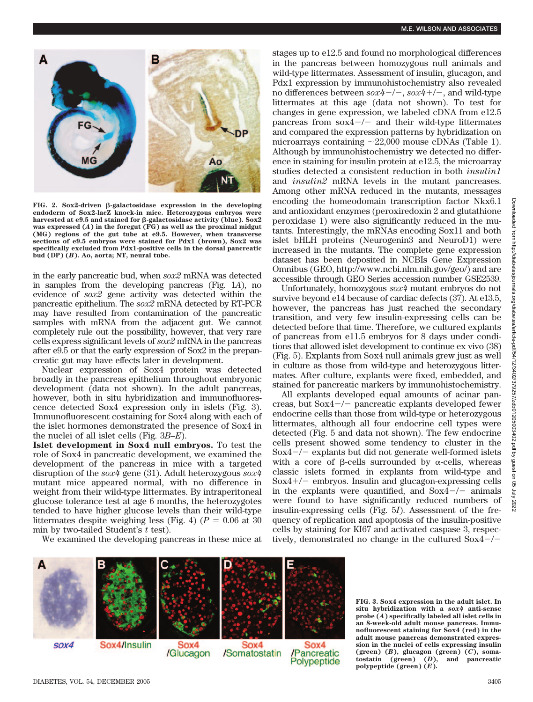

FIG. 2. Sox2-driven  $\beta$ -galactosidase expression in the developing **endoderm of Sox2-lacZ knock-in mice. Heterozygous embryos were** harvested at e9.5 and stained for β-galactosidase activity (blue). Sox2 **was expressed (***A***) in the foregut (FG) as well as the proximal midgut (MG) regions of the gut tube at e9.5. However, when transverse sections of e9.5 embryos were stained for Pdx1 (brown), Sox2 was specifically excluded from Pdx1-positive cells in the dorsal pancreatic bud (DP) (***B***). Ao, aorta; NT, neural tube.**

in the early pancreatic bud, when *sox2* mRNA was detected in samples from the developing pancreas (Fig. 1*A*), no evidence of *sox2* gene activity was detected within the pancreatic epithelium. The *sox2* mRNA detected by RT-PCR may have resulted from contamination of the pancreatic samples with mRNA from the adjacent gut. We cannot completely rule out the possibility, however, that very rare cells express significant levels of *sox2* mRNA in the pancreas after e9.5 or that the early expression of Sox2 in the prepancreatic gut may have effects later in development.

Nuclear expression of Sox4 protein was detected broadly in the pancreas epithelium throughout embryonic development (data not shown). In the adult pancreas, however, both in situ hybridization and immunofluorescence detected Sox4 expression only in islets (Fig. 3). Immunofluorescent costaining for Sox4 along with each of the islet hormones demonstrated the presence of Sox4 in the nuclei of all islet cells (Fig. 3*B–E*).

**Islet development in Sox4 null embryos.** To test the role of Sox4 in pancreatic development, we examined the development of the pancreas in mice with a targeted disruption of the *sox4* gene (31). Adult heterozygous *sox4* mutant mice appeared normal, with no difference in weight from their wild-type littermates. By intraperitoneal glucose tolerance test at age 6 months, the heterozygotes tended to have higher glucose levels than their wild-type littermates despite weighing less (Fig. 4) ( $P = 0.06$  at 30) min by two-tailed Student's *t* test).

We examined the developing pancreas in these mice at

stages up to e12.5 and found no morphological differences in the pancreas between homozygous null animals and wild-type littermates. Assessment of insulin, glucagon, and Pdx1 expression by immunohistochemistry also revealed no differences between  $s\alpha x^4$ -/-,  $s\alpha x^4$ +/-, and wild-type littermates at this age (data not shown). To test for changes in gene expression, we labeled cDNA from e12.5 pancreas from  $sox4-/-$  and their wild-type littermates and compared the expression patterns by hybridization on microarrays containing  $\sim$ 22,000 mouse cDNAs (Table 1). Although by immunohistochemistry we detected no difference in staining for insulin protein at e12.5, the microarray studies detected a consistent reduction in both *insulin1* and *insulin2* mRNA levels in the mutant pancreases. Among other mRNA reduced in the mutants, messages encoding the homeodomain transcription factor Nkx6.1 and antioxidant enzymes (peroxiredoxin 2 and glutathione peroxidase 1) were also significantly reduced in the mutants. Interestingly, the mRNAs encoding Sox11 and both islet bHLH proteins (Neurogenin3 and NeuroD1) were increased in the mutants. The complete gene expression dataset has been deposited in NCBIs Gene Expression Omnibus (GEO, http://www.ncbi.nlm.nih.gov/geo/) and are accessible through GEO Series accession number GSE2539.

Unfortunately, homozygous *sox4* mutant embryos do not survive beyond e14 because of cardiac defects (37). At e13.5, however, the pancreas has just reached the secondary transition, and very few insulin-expressing cells can be detected before that time. Therefore, we cultured explants of pancreas from e11.5 embryos for 8 days under conditions that allowed islet development to continue ex vivo (38) (Fig. 5). Explants from Sox4 null animals grew just as well in culture as those from wild-type and heterozygous littermates. After culture, explants were fixed, embedded, and stained for pancreatic markers by immunohistochemistry.

All explants developed equal amounts of acinar pancreas, but  $Sox4-/-$  pancreatic explants developed fewer endocrine cells than those from wild-type or heterozygous littermates, although all four endocrine cell types were detected (Fig. 5 and data not shown). The few endocrine cells present showed some tendency to cluster in the Sox $4-/-$  explants but did not generate well-formed islets with a core of  $\beta$ -cells surrounded by  $\alpha$ -cells, whereas classic islets formed in explants from wild-type and  $Sox4+/-$  embryos. Insulin and glucagon-expressing cells in the explants were quantified, and  $Sox4-/-$  animals were found to have significantly reduced numbers of insulin-expressing cells (Fig. 5*I*). Assessment of the frequency of replication and apoptosis of the insulin-positive cells by staining for KI67 and activated caspase 3, respectively, demonstrated no change in the cultured  $Sox4-/-$ 

Sox4/Insulin SOX4 iOX4 Sox4 /Glucagon /Somatostatin /Pancreatic Polypeptide

**FIG. 3. Sox4 expression in the adult islet. In situ hybridization with a** *sox4* **anti-sense probe (***A***) specifically labeled all islet cells in an 8-week-old adult mouse pancreas. Immunofluorescent staining for Sox4 (red) in the adult mouse pancreas demonstrated expression in the nuclei of cells expressing insulin (green) (***B***), glucagon (green) (***C***), somatostatin (green) (***D***), and pancreatic polypeptide (green) (***E***).**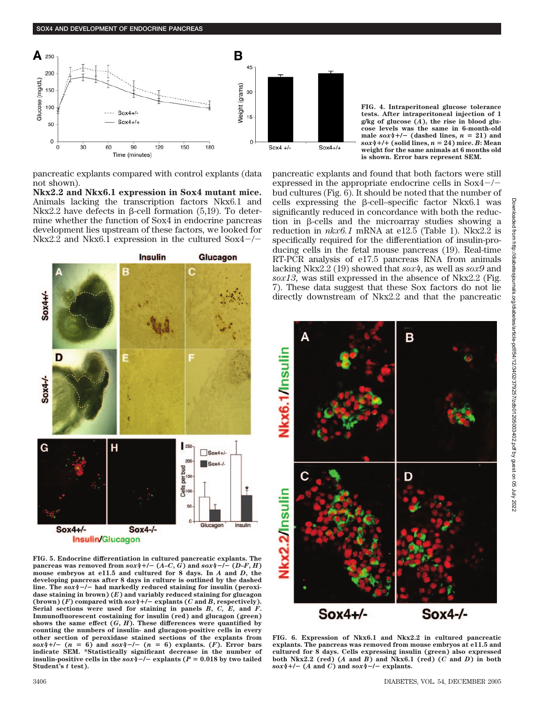

pancreatic explants compared with control explants (data not shown).

**Nkx2.2 and Nkx6.1 expression in Sox4 mutant mice.** Animals lacking the transcription factors Nkx6.1 and Nkx2.2 have defects in  $\beta$ -cell formation (5,19). To determine whether the function of Sox4 in endocrine pancreas development lies upstream of these factors, we looked for Nkx2.2 and Nkx6.1 expression in the cultured  $Sox4-/-$ 



**FIG. 5. Endocrine differentiation in cultured pancreatic explants. The pancreas was removed from**  $s\alpha x/4 + (- (A-C, G))$  **and**  $s\alpha x/4 - (- (D-F, H))$ **mouse embryos at e11.5 and cultured for 8 days. In** *A* **and** *D***, the developing pancreas after 8 days in culture is outlined by the dashed** line. The  $sox4$ <sup>-/-</sup> had markedly reduced staining for insulin (peroxi**dase staining in brown) (***E***) and variably reduced staining for glucagon** (brown)  $(F)$  compared with  $s \circ x/4 + (-\exp \left(\frac{F}{\sin \theta}\right)$  and *B*, respectively). **Serial sections were used for staining in panels** *B***,** *C, E,* **and** *F***. Immunofluorescent costaining for insulin (red) and glucagon (green)** shows the same effect  $(G, H)$ . These differences were quantified by **counting the numbers of insulin- and glucagon-positive cells in every other section of peroxidase stained sections of the explants from** *sox4+/-*  $(n = 6)$  and *sox4-/-*  $(n = 6)$  explants.  $(F)$ . Error bars **indicate SEM. \*Statistically significant decrease in the number of insulin-positive cells in the**  $sox4$  **–/– explants (** $P = 0.018$  **by two tailed Student's** *t* **test).**

**FIG. 4. Intraperitoneal glucose tolerance tests. After intraperitoneal injection of 1 g/kg of glucose (***A***), the rise in blood glucose levels was the same in 6-month-old** male  $sox4+/-$  (dashed lines,  $n = 21$ ) and  $sox4$ <sup>+/+</sup> (solid lines,  $n = 24$ ) mice. *B*: Mean **weight for the same animals at 6 months old is shown. Error bars represent SEM.**

pancreatic explants and found that both factors were still expressed in the appropriate endocrine cells in  $Sox4-/$ bud cultures (Fig. 6). It should be noted that the number of cells expressing the  $\beta$ -cell-specific factor Nkx6.1 was significantly reduced in concordance with both the reduction in  $\beta$ -cells and the microarray studies showing a reduction in  $nkx6.1$  mRNA at e12.5 (Table 1). Nkx2.2 is specifically required for the differentiation of insulin-producing cells in the fetal mouse pancreas (19). Real-time RT-PCR analysis of e17.5 pancreas RNA from animals lacking Nkx2.2 (19) showed that *sox4*, as well as *sox9* and *sox13,* was still expressed in the absence of Nkx2.2 (Fig. 7). These data suggest that these Sox factors do not lie directly downstream of Nkx2.2 and that the pancreatic



**FIG. 6. Expression of Nkx6.1 and Nkx2.2 in cultured pancreatic explants. The pancreas was removed from mouse embryos at e11.5 and cultured for 8 days. Cells expressing insulin (green) also expressed both Nkx2.2 (red) (***A* **and** *B***) and Nkx6.1 (red) (***C* **and** *D***) in both**  $s\alpha x$ <sup> $4$ </sup> +/- (*A* and *C*) and  $s\alpha x$ <sup> $4$ </sup> -/- explants.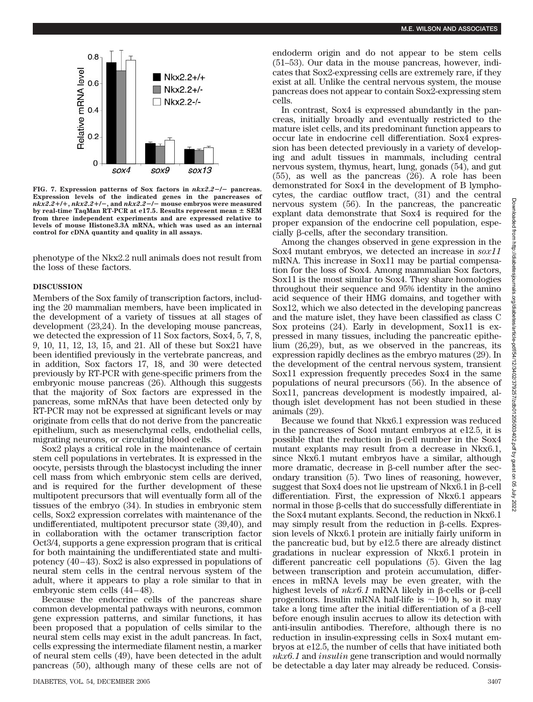

**FIG. 7. Expression patterns of Sox factors in** *nkx2.2***/ pancreas. Expression levels of the indicated genes in the pancreases of**  $nkx2.2+/+$ ,  $nkx2.2+/-$ , and  $nkx2.2-/-$  mouse embryos were measured **by real-time TaqMan RT-PCR at e17.5. Results represent mean SEM from three independent experiments and are expressed relative to levels of mouse Histone3.3A mRNA, which was used as an internal control for cDNA quantity and quality in all assays.**

phenotype of the Nkx2.2 null animals does not result from the loss of these factors.

# **DISCUSSION**

Members of the Sox family of transcription factors, including the 20 mammalian members, have been implicated in the development of a variety of tissues at all stages of development (23,24). In the developing mouse pancreas, we detected the expression of 11 Sox factors, Sox4, 5, 7, 8, 9, 10, 11, 12, 13, 15, and 21. All of these but Sox21 have been identified previously in the vertebrate pancreas, and in addition, Sox factors 17, 18, and 30 were detected previously by RT-PCR with gene-specific primers from the embryonic mouse pancreas (26). Although this suggests that the majority of Sox factors are expressed in the pancreas, some mRNAs that have been detected only by RT-PCR may not be expressed at significant levels or may originate from cells that do not derive from the pancreatic epithelium, such as mesenchymal cells, endothelial cells, migrating neurons, or circulating blood cells.

Sox2 plays a critical role in the maintenance of certain stem cell populations in vertebrates. It is expressed in the oocyte, persists through the blastocyst including the inner cell mass from which embryonic stem cells are derived, and is required for the further development of these multipotent precursors that will eventually form all of the tissues of the embryo (34). In studies in embryonic stem cells, Sox2 expression correlates with maintenance of the undifferentiated, multipotent precursor state (39,40), and in collaboration with the octamer transcription factor Oct3/4, supports a gene expression program that is critical for both maintaining the undifferentiated state and multipotency (40–43). Sox2 is also expressed in populations of neural stem cells in the central nervous system of the adult, where it appears to play a role similar to that in embryonic stem cells (44–48).

Because the endocrine cells of the pancreas share common developmental pathways with neurons, common gene expression patterns, and similar functions, it has been proposed that a population of cells similar to the neural stem cells may exist in the adult pancreas. In fact, cells expressing the intermediate filament nestin, a marker of neural stem cells (49), have been detected in the adult pancreas (50), although many of these cells are not of endoderm origin and do not appear to be stem cells (51–53). Our data in the mouse pancreas, however, indicates that Sox2-expressing cells are extremely rare, if they exist at all. Unlike the central nervous system, the mouse pancreas does not appear to contain Sox2-expressing stem cells.

In contrast, Sox4 is expressed abundantly in the pancreas, initially broadly and eventually restricted to the mature islet cells, and its predominant function appears to occur late in endocrine cell differentiation. Sox4 expression has been detected previously in a variety of developing and adult tissues in mammals, including central nervous system, thymus, heart, lung, gonads (54), and gut (55), as well as the pancreas (26). A role has been demonstrated for Sox4 in the development of B lymphocytes, the cardiac outflow tract, (31) and the central nervous system (56). In the pancreas, the pancreatic explant data demonstrate that Sox4 is required for the proper expansion of the endocrine cell population, espe $cially \beta$ -cells, after the secondary transition.

Among the changes observed in gene expression in the Sox4 mutant embryos, we detected an increase in *sox11* mRNA. This increase in Sox11 may be partial compensation for the loss of Sox4. Among mammalian Sox factors, Sox11 is the most similar to Sox4. They share homologies throughout their sequence and 95% identity in the amino acid sequence of their HMG domains, and together with Sox12, which we also detected in the developing pancreas and the mature islet, they have been classified as class C Sox proteins (24). Early in development, Sox11 is expressed in many tissues, including the pancreatic epithelium (26,29), but, as we observed in the pancreas, its expression rapidly declines as the embryo matures (29). In the development of the central nervous system, transient Sox11 expression frequently precedes Sox4 in the same populations of neural precursors (56). In the absence of Sox11, pancreas development is modestly impaired, although islet development has not been studied in these animals (29).

Because we found that Nkx6.1 expression was reduced in the pancreases of Sox4 mutant embryos at e12.5, it is possible that the reduction in  $\beta$ -cell number in the Sox4 mutant explants may result from a decrease in Nkx6.1, since Nkx6.1 mutant embryos have a similar, although more dramatic, decrease in  $\beta$ -cell number after the secondary transition (5). Two lines of reasoning, however,  $suggest that$  Sox4 does not lie upstream of Nkx6.1 in  $\beta$ -cell differentiation. First, the expression of Nkx6.1 appears normal in those  $\beta$ -cells that do successfully differentiate in the Sox4 mutant explants. Second, the reduction in Nkx6.1 may simply result from the reduction in  $\beta$ -cells. Expression levels of Nkx6.1 protein are initially fairly uniform in the pancreatic bud, but by e12.5 there are already distinct gradations in nuclear expression of Nkx6.1 protein in different pancreatic cell populations (5). Given the lag between transcription and protein accumulation, differences in mRNA levels may be even greater, with the highest levels of  $nkx6.1$  mRNA likely in  $\beta$ -cells or  $\beta$ -cell progenitors. Insulin mRNA half-life is  $\sim$ 100 h, so it may take a long time after the initial differentiation of a  $\beta$ -cell before enough insulin accrues to allow its detection with anti-insulin antibodies. Therefore, although there is no reduction in insulin-expressing cells in Sox4 mutant embryos at e12.5, the number of cells that have initiated both *nkx6.1* and *insulin* gene transcription and would normally be detectable a day later may already be reduced. Consis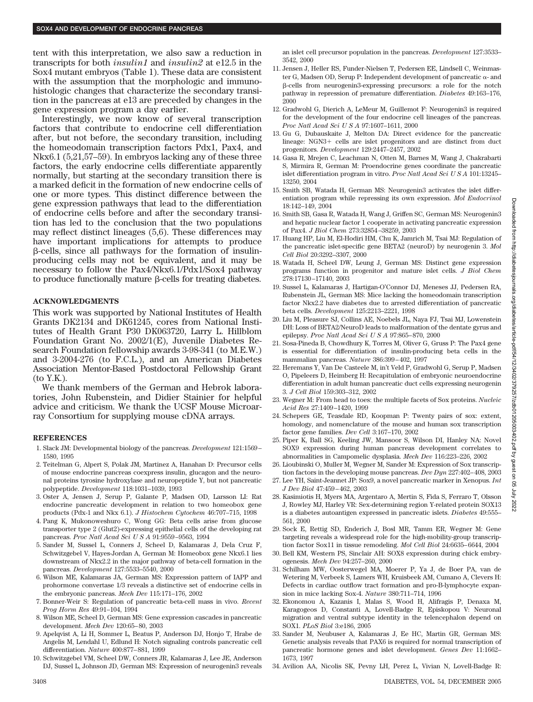tent with this interpretation, we also saw a reduction in transcripts for both *insulin1* and *insulin2* at e12.5 in the Sox4 mutant embryos (Table 1). These data are consistent with the assumption that the morphologic and immunohistologic changes that characterize the secondary transition in the pancreas at e13 are preceded by changes in the gene expression program a day earlier.

Interestingly, we now know of several transcription factors that contribute to endocrine cell differentiation after, but not before, the secondary transition, including the homeodomain transcription factors Pdx1, Pax4, and Nkx6.1 (5,21,57–59). In embryos lacking any of these three factors, the early endocrine cells differentiate apparently normally, but starting at the secondary transition there is a marked deficit in the formation of new endocrine cells of one or more types. This distinct difference between the gene expression pathways that lead to the differentiation of endocrine cells before and after the secondary transition has led to the conclusion that the two populations may reflect distinct lineages (5,6). These differences may have important implications for attempts to produce --cells, since all pathways for the formation of insulinproducing cells may not be equivalent, and it may be necessary to follow the Pax4/Nkx6.1/Pdx1/Sox4 pathway to produce functionally mature  $\beta$ -cells for treating diabetes.

#### **ACKNOWLEDGMENTS**

This work was supported by National Institutes of Health Grants DK2134 and DK61245, cores from National Institutes of Health Grant P30 DK063720, Larry L. Hillblom Foundation Grant No. 2002/1(E), Juvenile Diabetes Research Foundation fellowship awards 3-98-341 (to M.E.W.) and 3-2004-276 (to F.C.L.), and an American Diabetes Association Mentor-Based Postdoctoral Fellowship Grant (to Y.K.).

We thank members of the German and Hebrok laboratories, John Rubenstein, and Didier Stainier for helpful advice and criticism. We thank the UCSF Mouse Microarray Consortium for supplying mouse cDNA arrays.

# **REFERENCES**

- 1. Slack JM: Developmental biology of the pancreas. *Development* 121:1569– 1580, 1995
- 2. Teitelman G, Alpert S, Polak JM, Martinez A, Hanahan D: Precursor cells of mouse endocrine pancreas coexpress insulin, glucagon and the neuronal proteins tyrosine hydroxylase and neuropeptide Y, but not pancreatic polypeptide. *Development* 118:1031–1039, 1993
- 3. Oster A, Jensen J, Serup P, Galante P, Madsen OD, Larsson LI: Rat endocrine pancreatic development in relation to two homeobox gene products (Pdx-1 and Nkx 6.1). *J Histochem Cytochem* 46:707–715, 1998
- 4. Pang K, Mukonoweshuro C, Wong GG: Beta cells arise from glucose transporter type 2 (Glut2)-expressing epithelial cells of the developing rat pancreas. *Proc Natl Acad SciUSA* 91:9559–9563, 1994
- 5. Sander M, Sussel L, Conners J, Scheel D, Kalamaras J, Dela Cruz F, Schwitzgebel V, Hayes-Jordan A, German M: Homeobox gene Nkx6.1 lies downstream of Nkx2.2 in the major pathway of beta-cell formation in the pancreas. *Development* 127:5533–5540, 2000
- 6. Wilson ME, Kalamaras JA, German MS: Expression pattern of IAPP and prohormone convertase 1/3 reveals a distinctive set of endocrine cells in the embryonic pancreas. *Mech Dev* 115:171–176, 2002
- 7. Bonner-Weir S: Regulation of pancreatic beta-cell mass in vivo. *Recent Prog Horm Res* 49:91–104, 1994
- 8. Wilson ME, Scheel D, German MS: Gene expression cascades in pancreatic development. *Mech Dev* 120:65–80, 2003
- 9. Apelqvist A, Li H, Sommer L, Beatus P, Anderson DJ, Honjo T, Hrabe de Angelis M, Lendahl U, Edlund H: Notch signaling controls pancreatic cell differentiation. *Nature* 400:877–881, 1999
- 10. Schwitzgebel VM, Scheel DW, Conners JR, Kalamaras J, Lee JE, Anderson DJ, Sussel L, Johnson JD, German MS: Expression of neurogenin3 reveals

an islet cell precursor population in the pancreas. *Development* 127:3533– 3542, 2000

- 11. Jensen J, Heller RS, Funder-Nielsen T, Pedersen EE, Lindsell C, Weinmaster G, Madsen OD, Serup P: Independent development of pancreatic  $\alpha$ - and --cells from neurogenin3-expressing precursors: a role for the notch pathway in repression of premature differentiation. *Diabetes* 49:163–176, 2000
- 12. Gradwohl G, Dierich A, LeMeur M, Guillemot F: Neurogenin3 is required for the development of the four endocrine cell lineages of the pancreas. *Proc Natl Acad SciUSA* 97:1607–1611, 2000
- 13. Gu G, Dubauskaite J, Melton DA: Direct evidence for the pancreatic lineage:  $NGN3+$  cells are islet progenitors and are distinct from duct progenitors. *Development* 129:2447–2457, 2002
- 14. Gasa R, Mrejen C, Leachman N, Otten M, Barnes M, Wang J, Chakrabarti S, Mirmira R, German M: Proendocrine genes coordinate the pancreatic islet differentiation program in vitro. *Proc Natl Acad SciUSA* 101:13245– 13250, 2004
- 15. Smith SB, Watada H, German MS: Neurogenin3 activates the islet differentiation program while repressing its own expression. *Mol Endocrinol* 18:142–149, 2004
- 16. Smith SB, Gasa R, Watada H, Wang J, Griffen SC, German MS: Neurogenin3 and hepatic nuclear factor 1 cooperate in activating pancreatic expression of Pax4. *J Biol Chem* 273:32854–38259, 2003
- 17. Huang HP, Liu M, El-Hodiri HM, Chu K, Jamrich M, Tsai MJ: Regulation of the pancreatic islet-specific gene BETA2 (neuroD) by neurogenin 3. *Mol Cell Biol* 20:3292–3307, 2000
- 18. Watada H, Scheel DW, Leung J, German MS: Distinct gene expression programs function in progenitor and mature islet cells. *J Biol Chem* 278:17130–17140, 2003
- 19. Sussel L, Kalamaras J, Hartigan-O'Connor DJ, Meneses JJ, Pedersen RA, Rubenstein JL, German MS: Mice lacking the homeodomain transcription factor Nkx2.2 have diabetes due to arrested differentiation of pancreatic beta cells. *Development* 125:2213–2221, 1998
- 20. Liu M, Pleasure SJ, Collins AE, Noebels JL, Naya FJ, Tsai MJ, Lowenstein DH: Loss of BETA2/NeuroD leads to malformation of the dentate gyrus and epilepsy. *Proc Natl Acad SciUSA* 97:865–870, 2000
- 21. Sosa-Pineda B, Chowdhury K, Torres M, Oliver G, Gruss P: The Pax4 gene is essential for differentiation of insulin-producing beta cells in the mammalian pancreas. *Nature* 386:399–402, 1997
- 22. Heremans Y, Van De Casteele M, in't Veld P, Gradwohl G, Serup P, Madsen O, Pipeleers D, Heimberg H: Recapitulation of embryonic neuroendocrine differentiation in adult human pancreatic duct cells expressing neurogenin 3. *J Cell Biol* 159:303–312, 2002
- 23. Wegner M: From head to toes: the multiple facets of Sox proteins. *Nucleic Acid Res* 27:1409–1420, 1999
- 24. Schepers GE, Teasdale RD, Koopman P: Twenty pairs of sox: extent, homology, and nomenclature of the mouse and human sox transcription factor gene families. *Dev Cell* 3:167–170, 2002
- 25. Piper K, Ball SG, Keeling JW, Mansoor S, Wilson DI, Hanley NA: Novel SOX9 expression during human pancreas development correlates to abnormalities in Campomelic dysplasia. *Mech Dev* 116:223–226, 2002
- 26. Lioubinski O, Muller M, Wegner M, Sander M: Expression of Sox transcription factors in the developing mouse pancreas. *Dev Dyn* 227:402–408, 2003
- 27. Lee YH, Saint-Jeannet JP: Sox9, a novel pancreatic marker in Xenopus. *Int J Dev Biol* 47:459–462, 2003
- 28. Kasimiotis H, Myers MA, Argentaro A, Mertin S, Fida S, Ferraro T, Olsson J, Rowley MJ, Harley VR: Sex-determining region Y-related protein SOX13 is a diabetes autoantigen expressed in pancreatic islets. *Diabetes* 49:555– 561, 2000
- 29. Sock E, Rettig SD, Enderich J, Bosl MR, Tamm ER, Wegner M: Gene targeting reveals a widespread role for the high-mobility-group transcription factor Sox11 in tissue remodeling. *Mol Cell Biol* 24:6635–6644, 2004
- 30. Bell KM, Western PS, Sinclair AH: SOX8 expression during chick embryogenesis. *Mech Dev* 94:257–260, 2000
- 31. Schilham MW, Oosterwegel MA, Moerer P, Ya J, de Boer PA, van de Wetering M, Verbeek S, Lamers WH, Kruisbeek AM, Cumano A, Clevers H: Defects in cardiac outflow tract formation and pro-B-lymphocyte expansion in mice lacking Sox-4. *Nature* 380:711–714, 1996
- 32. Ekonomou A, Kazanis I, Malas S, Wood H, Alifragis P, Denaxa M, Karagogeos D, Constanti A, Lovell-Badge R, Episkopou V: Neuronal migration and ventral subtype identity in the telencephalon depend on SOX1. *PLoS Biol* 3:e186, 2005
- 33. Sander M, Neubuser A, Kalamaras J, Ee HC, Martin GR, German MS: Genetic analysis reveals that PAX6 is required for normal transcription of pancreatic hormone genes and islet development. *Genes Dev* 11:1662– 1673, 1997
- 34. Avilion AA, Nicolis SK, Pevny LH, Perez L, Vivian N, Lovell-Badge R: